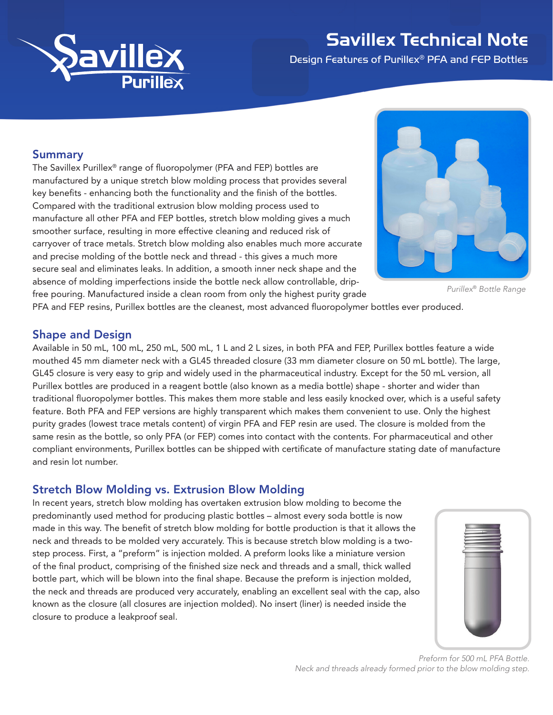

# Savillex Technical Note

Design Features of Purillex® PFA and FEP Bottles

#### Summary

The Savillex Purillex® range of fluoropolymer (PFA and FEP) bottles are manufactured by a unique stretch blow molding process that provides several key benefits - enhancing both the functionality and the finish of the bottles. Compared with the traditional extrusion blow molding process used to manufacture all other PFA and FEP bottles, stretch blow molding gives a much smoother surface, resulting in more effective cleaning and reduced risk of carryover of trace metals. Stretch blow molding also enables much more accurate and precise molding of the bottle neck and thread - this gives a much more secure seal and eliminates leaks. In addition, a smooth inner neck shape and the absence of molding imperfections inside the bottle neck allow controllable, dripfree pouring. Manufactured inside a clean room from only the highest purity grade



*Purillex*® *Bottle Range*

PFA and FEP resins, Purillex bottles are the cleanest, most advanced fluoropolymer bottles ever produced.

### Shape and Design

Available in 50 mL, 100 mL, 250 mL, 500 mL, 1 L and 2 L sizes, in both PFA and FEP, Purillex bottles feature a wide mouthed 45 mm diameter neck with a GL45 threaded closure (33 mm diameter closure on 50 mL bottle). The large, GL45 closure is very easy to grip and widely used in the pharmaceutical industry. Except for the 50 mL version, all Purillex bottles are produced in a reagent bottle (also known as a media bottle) shape - shorter and wider than traditional fluoropolymer bottles. This makes them more stable and less easily knocked over, which is a useful safety feature. Both PFA and FEP versions are highly transparent which makes them convenient to use. Only the highest purity grades (lowest trace metals content) of virgin PFA and FEP resin are used. The closure is molded from the same resin as the bottle, so only PFA (or FEP) comes into contact with the contents. For pharmaceutical and other compliant environments, Purillex bottles can be shipped with certificate of manufacture stating date of manufacture and resin lot number.

### Stretch Blow Molding vs. Extrusion Blow Molding

In recent years, stretch blow molding has overtaken extrusion blow molding to become the predominantly used method for producing plastic bottles – almost every soda bottle is now made in this way. The benefit of stretch blow molding for bottle production is that it allows the neck and threads to be molded very accurately. This is because stretch blow molding is a twostep process. First, a "preform" is injection molded. A preform looks like a miniature version of the final product, comprising of the finished size neck and threads and a small, thick walled bottle part, which will be blown into the final shape. Because the preform is injection molded, the neck and threads are produced very accurately, enabling an excellent seal with the cap, also known as the closure (all closures are injection molded). No insert (liner) is needed inside the closure to produce a leakproof seal.



*Preform for 500 mL PFA Bottle. Neck and threads already formed prior to the blow molding step.*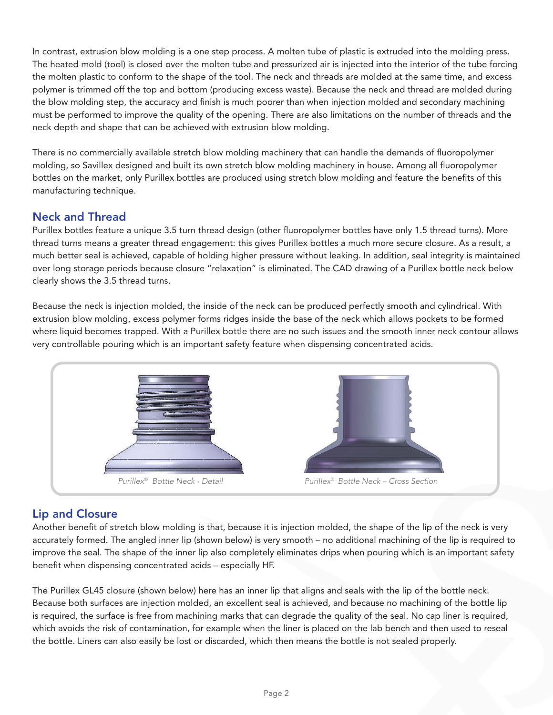In contrast, extrusion blow molding is a one step process. A molten tube of plastic is extruded into the molding press. The heated mold (tool) is closed over the molten tube and pressurized air is injected into the interior of the tube forcing the molten plastic to conform to the shape of the tool. The neck and threads are molded at the same time, and excess polymer is trimmed off the top and bottom (producing excess waste). Because the neck and thread are molded during the blow molding step, the accuracy and finish is much poorer than when injection molded and secondary machining must be performed to improve the quality of the opening. There are also limitations on the number of threads and the neck depth and shape that can be achieved with extrusion blow molding.

There is no commercially available stretch blow molding machinery that can handle the demands of fluoropolymer molding, so Savillex designed and built its own stretch blow molding machinery in house. Among all fluoropolymer bottles on the market, only Purillex bottles are produced using stretch blow molding and feature the benefits of this manufacturing technique.

# Neck and Thread

Purillex bottles feature a unique 3.5 turn thread design (other fluoropolymer bottles have only 1.5 thread turns). More thread turns means a greater thread engagement: this gives Purillex bottles a much more secure closure. As a result, a much better seal is achieved, capable of holding higher pressure without leaking. In addition, seal integrity is maintained over long storage periods because closure "relaxation" is eliminated. The CAD drawing of a Purillex bottle neck below clearly shows the 3.5 thread turns.

Because the neck is injection molded, the inside of the neck can be produced perfectly smooth and cylindrical. With extrusion blow molding, excess polymer forms ridges inside the base of the neck which allows pockets to be formed where liquid becomes trapped. With a Purillex bottle there are no such issues and the smooth inner neck contour allows very controllable pouring which is an important safety feature when dispensing concentrated acids.



# Lip and Closure

Another benefit of stretch blow molding is that, because it is injection molded, the shape of the lip of the neck is very accurately formed. The angled inner lip (shown below) is very smooth – no additional machining of the lip is required to improve the seal. The shape of the inner lip also completely eliminates drips when pouring which is an important safety benefit when dispensing concentrated acids – especially HF.

The Purillex GL45 closure (shown below) here has an inner lip that aligns and seals with the lip of the bottle neck. Because both surfaces are injection molded, an excellent seal is achieved, and because no machining of the bottle lip is required, the surface is free from machining marks that can degrade the quality of the seal. No cap liner is required, which avoids the risk of contamination, for example when the liner is placed on the lab bench and then used to reseal the bottle. Liners can also easily be lost or discarded, which then means the bottle is not sealed properly.